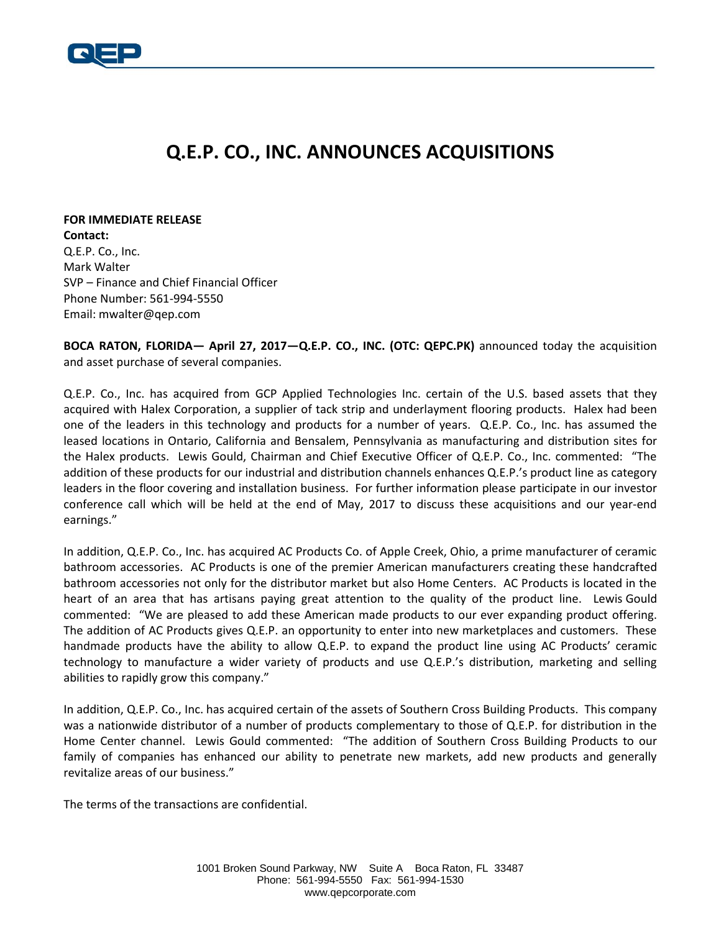

## **Q.E.P. CO., INC. ANNOUNCES ACQUISITIONS**

**FOR IMMEDIATE RELEASE Contact:** Q.E.P. Co., Inc. Mark Walter SVP – Finance and Chief Financial Officer Phone Number: 561-994-5550 Email: mwalter@qep.com

**BOCA RATON, FLORIDA— April 27, 2017—Q.E.P. CO., INC. (OTC: QEPC.PK)** announced today the acquisition and asset purchase of several companies.

Q.E.P. Co., Inc. has acquired from GCP Applied Technologies Inc. certain of the U.S. based assets that they acquired with Halex Corporation, a supplier of tack strip and underlayment flooring products. Halex had been one of the leaders in this technology and products for a number of years. Q.E.P. Co., Inc. has assumed the leased locations in Ontario, California and Bensalem, Pennsylvania as manufacturing and distribution sites for the Halex products. Lewis Gould, Chairman and Chief Executive Officer of Q.E.P. Co., Inc. commented: "The addition of these products for our industrial and distribution channels enhances Q.E.P.'s product line as category leaders in the floor covering and installation business. For further information please participate in our investor conference call which will be held at the end of May, 2017 to discuss these acquisitions and our year-end earnings."

In addition, Q.E.P. Co., Inc. has acquired AC Products Co. of Apple Creek, Ohio, a prime manufacturer of ceramic bathroom accessories. AC Products is one of the premier American manufacturers creating these handcrafted bathroom accessories not only for the distributor market but also Home Centers. AC Products is located in the heart of an area that has artisans paying great attention to the quality of the product line. Lewis Gould commented: "We are pleased to add these American made products to our ever expanding product offering. The addition of AC Products gives Q.E.P. an opportunity to enter into new marketplaces and customers. These handmade products have the ability to allow Q.E.P. to expand the product line using AC Products' ceramic technology to manufacture a wider variety of products and use Q.E.P.'s distribution, marketing and selling abilities to rapidly grow this company."

In addition, Q.E.P. Co., Inc. has acquired certain of the assets of Southern Cross Building Products. This company was a nationwide distributor of a number of products complementary to those of Q.E.P. for distribution in the Home Center channel. Lewis Gould commented: "The addition of Southern Cross Building Products to our family of companies has enhanced our ability to penetrate new markets, add new products and generally revitalize areas of our business."

The terms of the transactions are confidential.